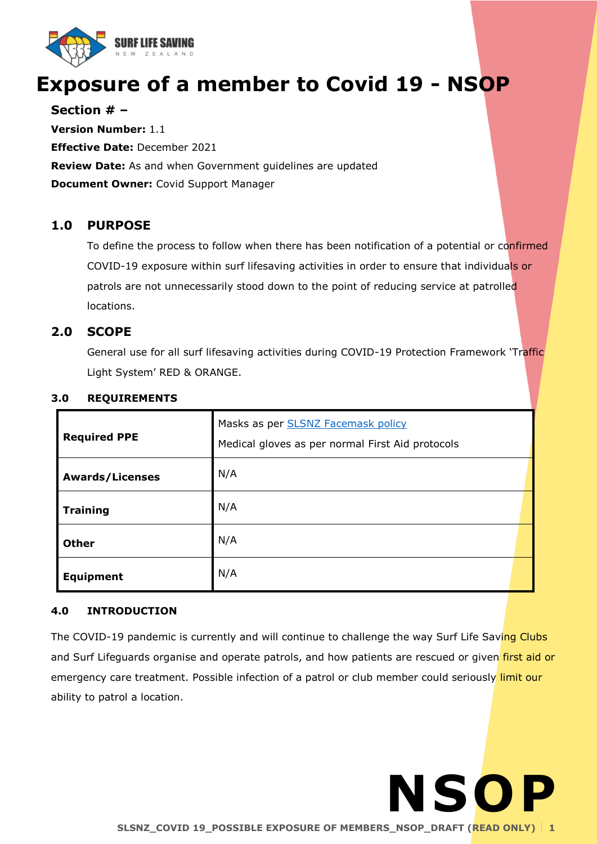

# **Exposure of a member to Covid 19 - NSOP**

**Section # –**

**Version Number:** 1.1 **Effective Date:** December 2021 **Review Date:** As and when Government guidelines are updated **Document Owner:** Covid Support Manager

# **1.0 PURPOSE**

To define the process to follow when there has been notification of a potential or confirmed COVID-19 exposure within surf lifesaving activities in order to ensure that individuals or patrols are not unnecessarily stood down to the point of reducing service at patrolled locations.

# **2.0 SCOPE**

General use for all surf lifesaving activities during COVID-19 Protection Framework 'Traffic Light System' RED & ORANGE.

| <b>Required PPE</b>    | Masks as per <b>SLSNZ Facemask policy</b><br>Medical gloves as per normal First Aid protocols |
|------------------------|-----------------------------------------------------------------------------------------------|
| <b>Awards/Licenses</b> | N/A                                                                                           |
| <b>Training</b>        | N/A                                                                                           |
| <b>Other</b>           | N/A                                                                                           |
| <b>Equipment</b>       | N/A                                                                                           |

# **3.0 REQUIREMENTS**

# **4.0 INTRODUCTION**

The COVID-19 pandemic is currently and will continue to challenge the way Surf Life Saving Clubs and Surf Lifeguards organise and operate patrols, and how patients are rescued or given first aid or emergency care treatment. Possible infection of a patrol or club member could seriously limit our ability to patrol a location.

**NSOP**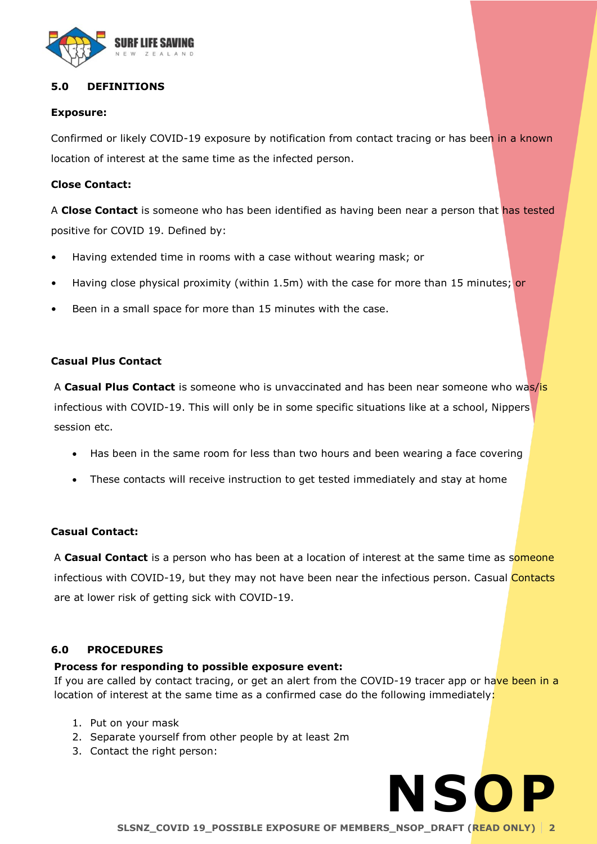

# **5.0 DEFINITIONS**

#### **Exposure:**

Confirmed or likely COVID-19 exposure by notification from contact tracing or has been in a known location of interest at the same time as the infected person.

#### **Close Contact:**

A **Close Contact** is someone who has been identified as having been near a person that has tested positive for COVID 19. Defined by:

- Having extended time in rooms with a case without wearing mask; or
- Having close physical proximity (within 1.5m) with the case for more than 15 minutes; or
- Been in a small space for more than 15 minutes with the case.

#### **Casual Plus Contact**

A **Casual Plus Contact** is someone who is unvaccinated and has been near someone who was/is infectious with COVID-19. This will only be in some specific situations like at a school, Nippers session etc.

- Has been in the same room for less than two hours and been wearing a face covering
- These contacts will receive instruction to get tested immediately and stay at home

# **Casual Contact:**

A **Casual Contact** is a person who has been at a location of interest at the same time as someone infectious with COVID-19, but they may not have been near the infectious person. Casual Contacts are at lower risk of getting sick with COVID-19.

# **6.0 PROCEDURES**

#### **Process for responding to possible exposure event:**

If you are called by contact tracing, or get an alert from the COVID-19 tracer app or have been in a location of interest at the same time as a confirmed case do the following immediately:

- 1. Put on your mask
- 2. Separate yourself from other people by at least 2m
- 3. Contact the right person:

**NSOP**